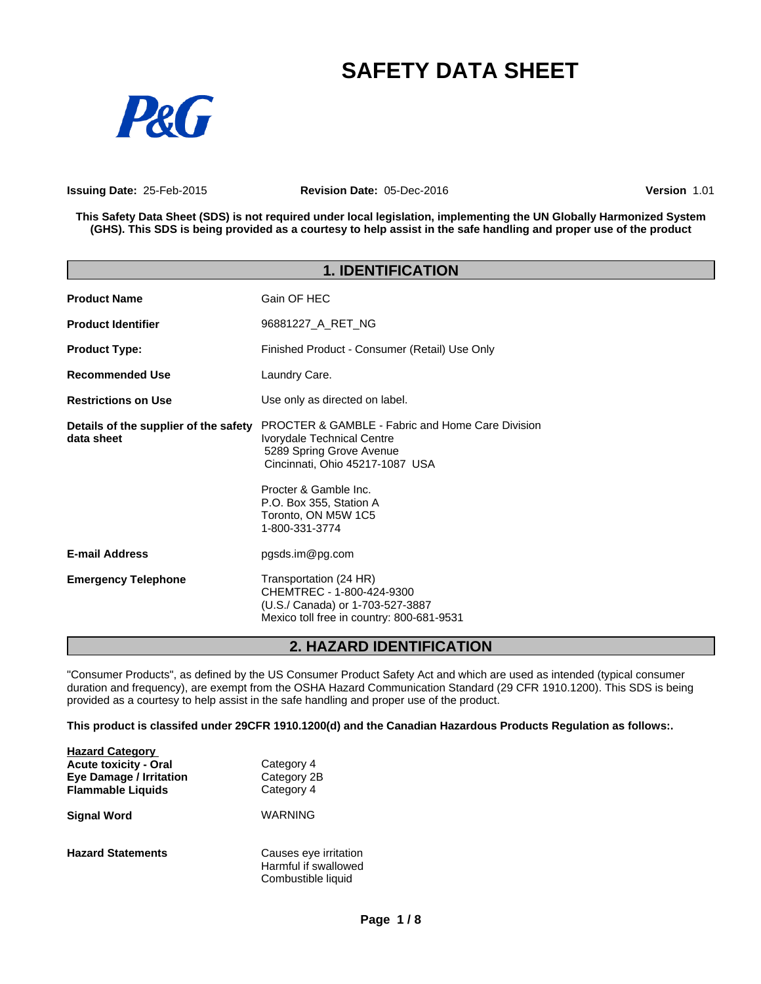# **SAFETY DATA SHEET**



**Issuing Date:** 25-Feb-2015 **Revision Date:** 05-Dec-2016 **Version** 1.01

This Safety Data Sheet (SDS) is not required under local legislation, implementing the UN Globally Harmonized System (GHS). This SDS is being provided as a courtesy to help assist in the safe handling and proper use of the product

| <b>1. IDENTIFICATION</b>                            |                                                                                                                                                                                                                                                       |  |  |
|-----------------------------------------------------|-------------------------------------------------------------------------------------------------------------------------------------------------------------------------------------------------------------------------------------------------------|--|--|
| <b>Product Name</b>                                 | Gain OF HEC                                                                                                                                                                                                                                           |  |  |
| <b>Product Identifier</b>                           | 96881227 A RET NG                                                                                                                                                                                                                                     |  |  |
| <b>Product Type:</b>                                | Finished Product - Consumer (Retail) Use Only                                                                                                                                                                                                         |  |  |
| <b>Recommended Use</b>                              | Laundry Care.                                                                                                                                                                                                                                         |  |  |
| <b>Restrictions on Use</b>                          | Use only as directed on label.                                                                                                                                                                                                                        |  |  |
| Details of the supplier of the safety<br>data sheet | <b>PROCTER &amp; GAMBLE - Fabric and Home Care Division</b><br>Ivorydale Technical Centre<br>5289 Spring Grove Avenue<br>Cincinnati, Ohio 45217-1087 USA<br>Procter & Gamble Inc.<br>P.O. Box 355, Station A<br>Toronto, ON M5W 1C5<br>1-800-331-3774 |  |  |
| <b>E-mail Address</b>                               | pgsds.im@pg.com                                                                                                                                                                                                                                       |  |  |
| <b>Emergency Telephone</b>                          | Transportation (24 HR)<br>CHEMTREC - 1-800-424-9300<br>(U.S./ Canada) or 1-703-527-3887<br>Mexico toll free in country: 800-681-9531                                                                                                                  |  |  |

# **2. HAZARD IDENTIFICATION**

"Consumer Products", as defined by the US Consumer Product Safety Act and which are used as intended (typical consumer duration and frequency), are exempt from the OSHA Hazard Communication Standard (29 CFR 1910.1200). This SDS is being provided as a courtesy to help assist in the safe handling and proper use of the product.

**This product is classifed under 29CFR 1910.1200(d) and the Canadian Hazardous Products Regulation as follows:.**

| <b>Hazard Category</b><br><b>Acute toxicity - Oral</b><br><b>Eye Damage / Irritation</b><br><b>Flammable Liquids</b> | Category 4<br>Category 2B<br>Category 4                             |  |
|----------------------------------------------------------------------------------------------------------------------|---------------------------------------------------------------------|--|
| <b>Signal Word</b>                                                                                                   | WARNING                                                             |  |
| <b>Hazard Statements</b>                                                                                             | Causes eye irritation<br>Harmful if swallowed<br>Combustible liquid |  |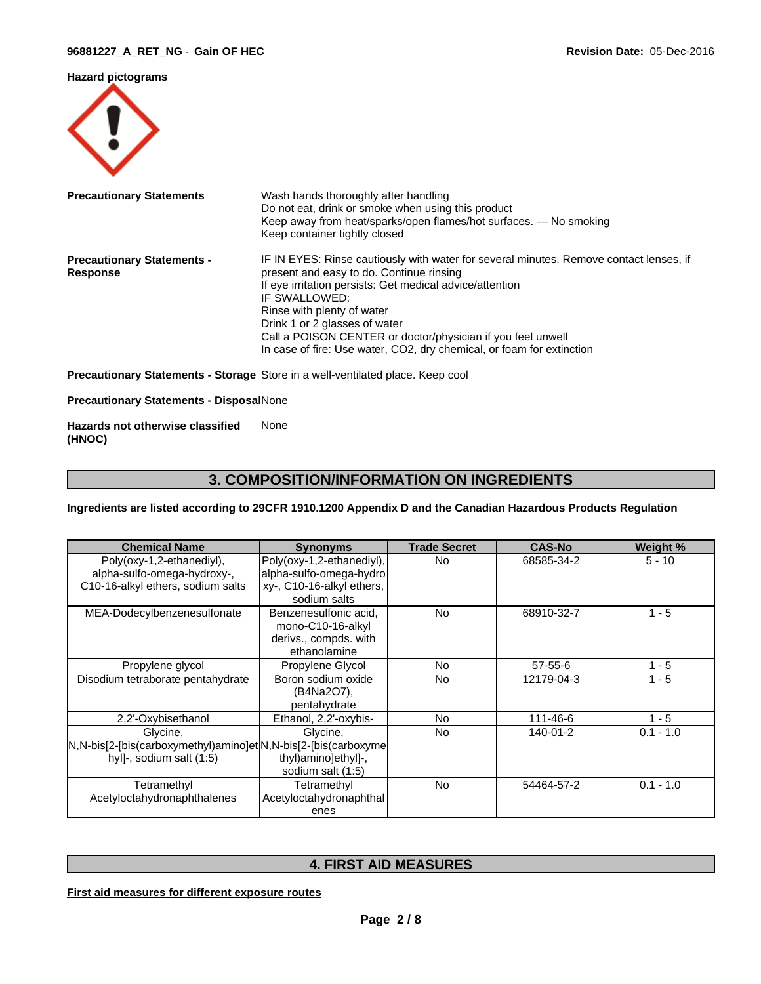### **Hazard pictograms**



| <b>Precautionary Statements</b>   | Wash hands thoroughly after handling                                                                                    |
|-----------------------------------|-------------------------------------------------------------------------------------------------------------------------|
|                                   | Do not eat, drink or smoke when using this product<br>Keep away from heat/sparks/open flames/hot surfaces. - No smoking |
|                                   | Keep container tightly closed                                                                                           |
|                                   |                                                                                                                         |
| <b>Precautionary Statements -</b> | IF IN EYES: Rinse cautiously with water for several minutes. Remove contact lenses, if                                  |
| <b>Response</b>                   | present and easy to do. Continue rinsing                                                                                |
|                                   | If eye irritation persists: Get medical advice/attention                                                                |
|                                   | IF SWALLOWED:                                                                                                           |
|                                   | Rinse with plenty of water                                                                                              |
|                                   | Drink 1 or 2 glasses of water                                                                                           |
|                                   | Call a POISON CENTER or doctor/physician if you feel unwell                                                             |
|                                   | In case of fire: Use water, CO2, dry chemical, or foam for extinction                                                   |

**Precautionary Statements - Storage** Store in a well-ventilated place. Keep cool

**Precautionary Statements - Disposal**None

**Hazards not otherwise classified (HNOC)** None

# **3. COMPOSITION/INFORMATION ON INGREDIENTS**

### **Ingredients are listed according to 29CFR 1910.1200 Appendix D and the Canadian Hazardous Products Regulation**

| <b>Chemical Name</b>                                                                                    | <b>Synonyms</b>                                                                     | <b>Trade Secret</b> | <b>CAS-No</b> | Weight %    |
|---------------------------------------------------------------------------------------------------------|-------------------------------------------------------------------------------------|---------------------|---------------|-------------|
| Poly(oxy-1,2-ethanediyl),<br>alpha-sulfo-omega-hydroxy-,                                                | Poly(oxy-1,2-ethanediyl),<br>alpha-sulfo-omega-hydro                                | <b>No</b>           | 68585-34-2    | $5 - 10$    |
| C10-16-alkyl ethers, sodium salts                                                                       | xy-, C10-16-alkyl ethers,<br>sodium salts                                           |                     |               |             |
| MEA-Dodecylbenzenesulfonate                                                                             | Benzenesulfonic acid.<br>mono-C10-16-alkyl<br>derivs., compds. with<br>ethanolamine | <b>No</b>           | 68910-32-7    | $1 - 5$     |
| Propylene glycol                                                                                        | Propylene Glycol                                                                    | No.                 | $57 - 55 - 6$ | $1 - 5$     |
| Disodium tetraborate pentahydrate                                                                       | Boron sodium oxide<br>(B4Na2O7),<br>pentahydrate                                    | No.                 | 12179-04-3    | $1 - 5$     |
| 2,2'-Oxybisethanol                                                                                      | Ethanol, 2,2'-oxybis-                                                               | No.                 | 111-46-6      | $1 - 5$     |
| Glycine,<br>N,N-bis[2-[bis(carboxymethyl)amino]et N,N-bis[2-[bis(carboxyme]<br>hyll-, sodium salt (1:5) | Glycine,<br>thyl)amino]ethyl]-,<br>sodium salt (1:5)                                | <b>No</b>           | 140-01-2      | $0.1 - 1.0$ |
| Tetramethyl<br>Acetyloctahydronaphthalenes                                                              | Tetramethyl<br>Acetyloctahydronaphthal<br>enes                                      | <b>No</b>           | 54464-57-2    | $0.1 - 1.0$ |

# **4. FIRST AID MEASURES**

**First aid measures for different exposure routes**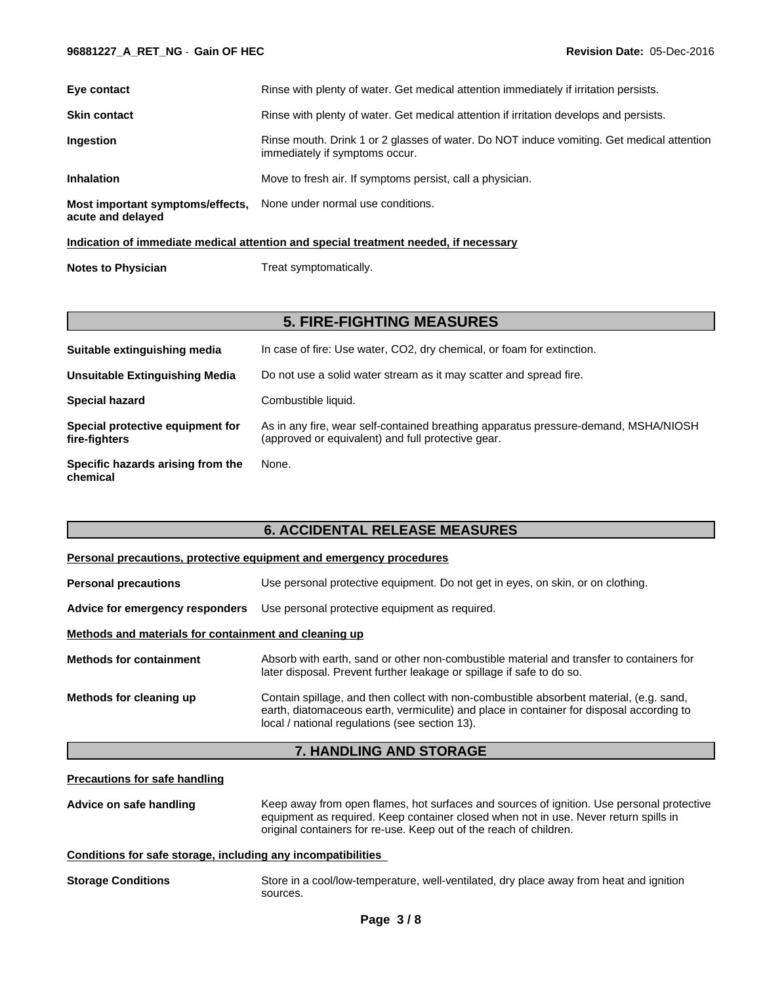#### **96881227\_A\_RET\_NG** - **Gain OF HEC Revision Date:** 05-Dec-2016

| Eye contact                                           | Rinse with plenty of water. Get medical attention immediately if irritation persists.                                       |
|-------------------------------------------------------|-----------------------------------------------------------------------------------------------------------------------------|
| <b>Skin contact</b>                                   | Rinse with plenty of water. Get medical attention if irritation develops and persists.                                      |
| Ingestion                                             | Rinse mouth. Drink 1 or 2 glasses of water. Do NOT induce vomiting. Get medical attention<br>immediately if symptoms occur. |
| <b>Inhalation</b>                                     | Move to fresh air. If symptoms persist, call a physician.                                                                   |
| Most important symptoms/effects,<br>acute and delayed | None under normal use conditions.                                                                                           |
|                                                       |                                                                                                                             |

#### **Indication of immediate medical attention and special treatment needed, if necessary**

| Treat symptomatically. |
|------------------------|
|                        |

# **5. FIRE-FIGHTING MEASURES**

| Suitable extinguishing media                      | In case of fire: Use water, CO2, dry chemical, or foam for extinction.                                                                    |
|---------------------------------------------------|-------------------------------------------------------------------------------------------------------------------------------------------|
| <b>Unsuitable Extinguishing Media</b>             | Do not use a solid water stream as it may scatter and spread fire.                                                                        |
| <b>Special hazard</b>                             | Combustible liquid.                                                                                                                       |
| Special protective equipment for<br>fire-fighters | As in any fire, wear self-contained breathing apparatus pressure-demand, MSHA/NIOSH<br>(approved or equivalent) and full protective gear. |
| Specific hazards arising from the<br>chemical     | None.                                                                                                                                     |

# **6. ACCIDENTAL RELEASE MEASURES**

| Personal precautions, protective equipment and emergency procedures |                                                                                                                                                                                                                                       |  |  |  |
|---------------------------------------------------------------------|---------------------------------------------------------------------------------------------------------------------------------------------------------------------------------------------------------------------------------------|--|--|--|
| <b>Personal precautions</b>                                         | Use personal protective equipment. Do not get in eyes, on skin, or on clothing.                                                                                                                                                       |  |  |  |
| Advice for emergency responders                                     | Use personal protective equipment as required.                                                                                                                                                                                        |  |  |  |
| Methods and materials for containment and cleaning up               |                                                                                                                                                                                                                                       |  |  |  |
| <b>Methods for containment</b>                                      | Absorb with earth, sand or other non-combustible material and transfer to containers for<br>later disposal. Prevent further leakage or spillage if safe to do so.                                                                     |  |  |  |
| Methods for cleaning up                                             | Contain spillage, and then collect with non-combustible absorbent material, (e.g. sand,<br>earth, diatomaceous earth, vermiculite) and place in container for disposal according to<br>local / national regulations (see section 13). |  |  |  |

# **7. HANDLING AND STORAGE**

### **Precautions for safe handling**

**Advice on safe handling** Keep away from open flames, hot surfaces and sources of ignition. Use personal protective equipment as required. Keep container closed when not in use. Never return spills in original containers for re-use. Keep out of the reach of children.

# **Conditions for safe storage, including any incompatibilities**

| <b>Storage Conditions</b> | Store in a cool/low-temperature, well-ventilated, dry place away from heat and ignition |
|---------------------------|-----------------------------------------------------------------------------------------|
|                           | sources.                                                                                |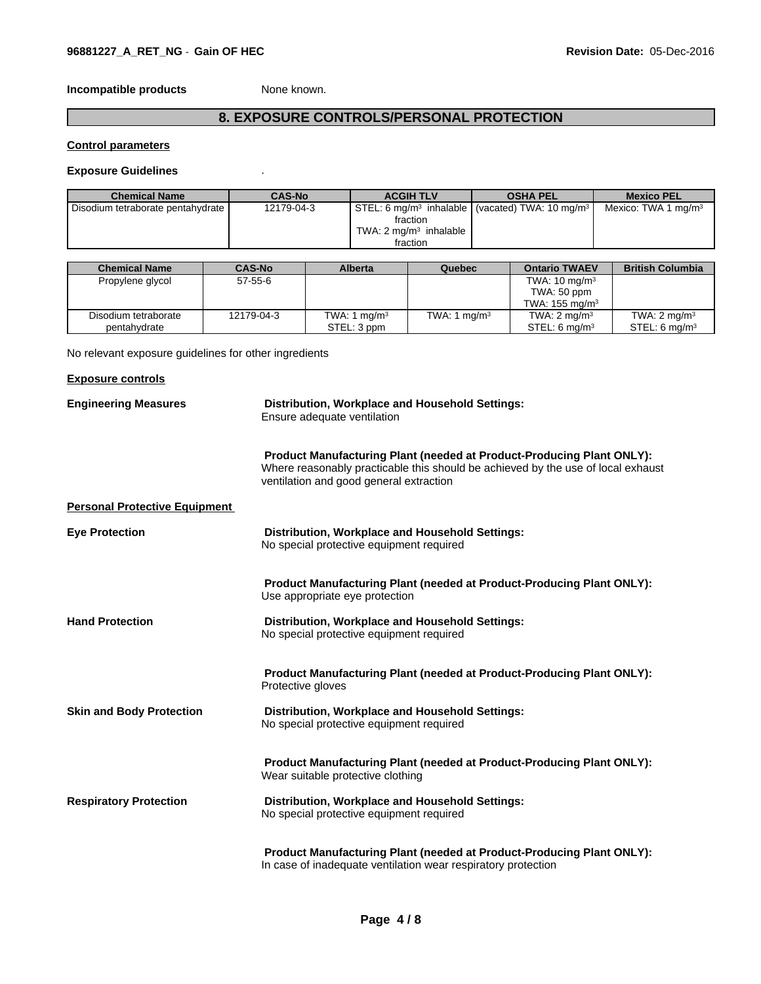**Incompatible products** None known.

# **8. EXPOSURE CONTROLS/PERSONAL PROTECTION**

## **Control parameters**

### **Exposure Guidelines** .

| <b>Chemical Name</b>              | <b>CAS-No</b> | <b>ACGIH TLV</b>                  | <b>OSHA PEL</b>                                                             | <b>Mexico PEL</b>               |
|-----------------------------------|---------------|-----------------------------------|-----------------------------------------------------------------------------|---------------------------------|
| Disodium tetraborate pentahydrate | 12179-04-3    |                                   | STEL: 6 mg/m <sup>3</sup> inhalable I (vacated) TWA: 10 mg/m <sup>3</sup> I | Mexico: TWA 1 mg/m <sup>3</sup> |
|                                   |               | fraction                          |                                                                             |                                 |
|                                   |               | TWA: $2 \text{ ma/m}^3$ inhalable |                                                                             |                                 |
|                                   |               | fraction                          |                                                                             |                                 |

| <b>Chemical Name</b> | <b>CAS-No</b> | <b>Alberta</b> | Quebec         | <b>Ontario TWAEV</b>       | <b>British Columbia</b>   |
|----------------------|---------------|----------------|----------------|----------------------------|---------------------------|
| Propylene glycol     | $57 - 55 - 6$ |                |                | TWA: $10 \text{ mg/m}^3$   |                           |
|                      |               |                |                | TWA: 50 ppm                |                           |
|                      |               |                |                | TWA: 155 mg/m <sup>3</sup> |                           |
| Disodium tetraborate | 12179-04-3    | TWA: 1 $mq/m3$ | TWA: 1 $mq/m3$ | TWA: $2 \text{ mg/m}^3$    | TWA: $2 \text{ mg/m}^3$   |
| pentahydrate         |               | STEL: 3 ppm    |                | STEL: 6 $ma/m3$            | STEL: 6 mg/m <sup>3</sup> |

No relevant exposure guidelines for other ingredients

| <b>Exposure controls</b>             |                                                                                                                                                                                                             |
|--------------------------------------|-------------------------------------------------------------------------------------------------------------------------------------------------------------------------------------------------------------|
| <b>Engineering Measures</b>          | Distribution, Workplace and Household Settings:<br>Ensure adequate ventilation                                                                                                                              |
|                                      | <b>Product Manufacturing Plant (needed at Product-Producing Plant ONLY):</b><br>Where reasonably practicable this should be achieved by the use of local exhaust<br>ventilation and good general extraction |
| <b>Personal Protective Equipment</b> |                                                                                                                                                                                                             |
| <b>Eye Protection</b>                | Distribution, Workplace and Household Settings:<br>No special protective equipment required                                                                                                                 |
|                                      | <b>Product Manufacturing Plant (needed at Product-Producing Plant ONLY):</b><br>Use appropriate eye protection                                                                                              |
| <b>Hand Protection</b>               | Distribution, Workplace and Household Settings:<br>No special protective equipment required                                                                                                                 |
|                                      | <b>Product Manufacturing Plant (needed at Product-Producing Plant ONLY):</b><br>Protective gloves                                                                                                           |
| <b>Skin and Body Protection</b>      | Distribution, Workplace and Household Settings:<br>No special protective equipment required                                                                                                                 |
|                                      | <b>Product Manufacturing Plant (needed at Product-Producing Plant ONLY):</b><br>Wear suitable protective clothing                                                                                           |
| <b>Respiratory Protection</b>        | Distribution, Workplace and Household Settings:<br>No special protective equipment required                                                                                                                 |
|                                      | Product Manufacturing Plant (needed at Product-Producing Plant ONLY):<br>In case of inadequate ventilation wear respiratory protection                                                                      |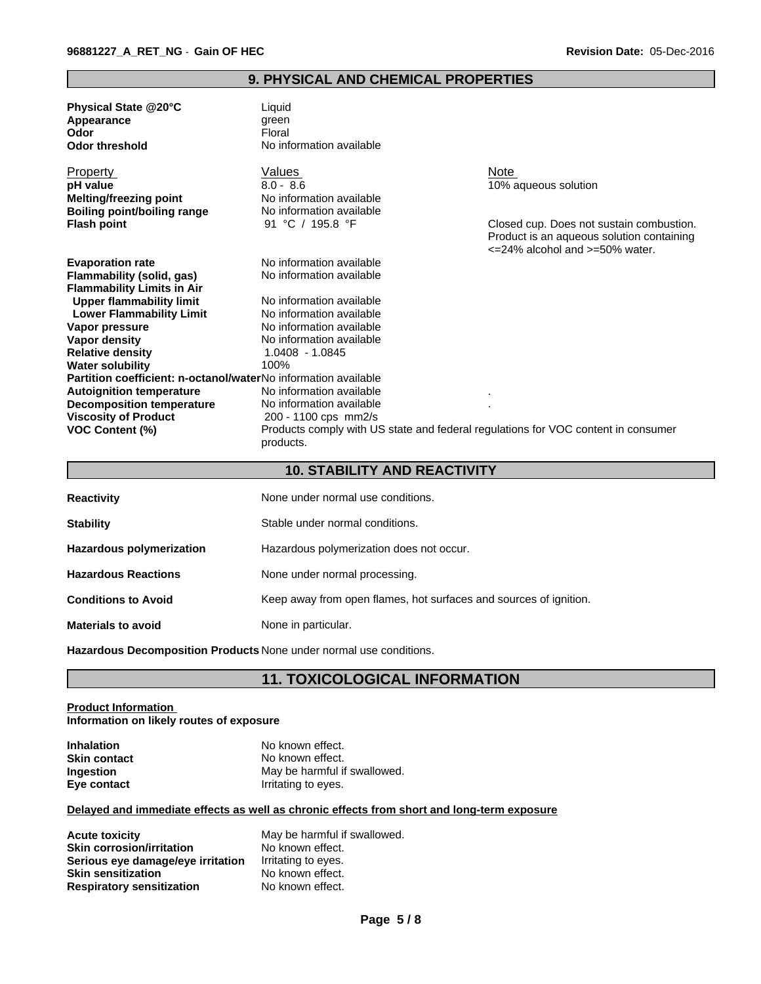### **9. PHYSICAL AND CHEMICAL PROPERTIES**

| Physical State @20°C | Liauid                   |
|----------------------|--------------------------|
| Appearance           | areen                    |
| Odor                 | Floral                   |
| Odor threshold       | No information available |

Property **Note** Natures **Note** Note Note Note Note **pH value**<br> **pH value**<br> **Melting/freezing point**<br> **No information available**<br> **Melting/freezing point**<br> **No information available Melting/freezing point No information available**<br> **Boiling point/boiling range No information available Boiling point/boiling range** No information avail<br> **Flash point** 91 °C / 195.8 °F

**Water solubility** 

**Viscosity of Product** 

**Evaporation rate** No information available **Flammability (solid, gas)** No information available **Flammability Limits in Air Upper flammability limit** No information available<br> **Lower Flammability Limit** No information available **Lower Flammability Limit Vapor pressure** No information available **Vapor density**<br> **Relative density**<br> **Relative density**<br> **Relative density**<br> **Relative Relative density** 1.040<br> **Water solubility** 100%

**Partition coefficient: n-octanol/water**No information available **Autoignition temperature No information available Decomposition temperature** ... No information available **Decomposition temperature** 10 No information available<br>Viscosity of Product 200 - 1100 cps mm2/s

**Closed cup. Does not sustain combustion.** Product is an aqueous solution containing <=24% alcohol and >=50% water.

|  | VOC Content (%) | Products comply with US state and federal regulations for VOC content in consumer<br>products. |
|--|-----------------|------------------------------------------------------------------------------------------------|
|--|-----------------|------------------------------------------------------------------------------------------------|

### **10. STABILITY AND REACTIVITY**

| <b>Reactivity</b>               | None under normal use conditions.                                 |
|---------------------------------|-------------------------------------------------------------------|
| <b>Stability</b>                | Stable under normal conditions.                                   |
| <b>Hazardous polymerization</b> | Hazardous polymerization does not occur.                          |
| <b>Hazardous Reactions</b>      | None under normal processing.                                     |
| <b>Conditions to Avoid</b>      | Keep away from open flames, hot surfaces and sources of ignition. |
| <b>Materials to avoid</b>       | None in particular.                                               |

**Hazardous Decomposition Products** None under normal use conditions.

# **11. TOXICOLOGICAL INFORMATION**

#### **Product Information Information on likely routes of exposure**

| <b>Inhalation</b>   | No known effect.             |
|---------------------|------------------------------|
| <b>Skin contact</b> | No known effect.             |
| <b>Ingestion</b>    | May be harmful if swallowed. |
| Eye contact         | Irritating to eyes.          |

#### **Delayed and immediate effects as well as chronic effects from short and long-term exposure**

| <b>Acute toxicity</b>             | May be harmful if swallowed. |
|-----------------------------------|------------------------------|
| <b>Skin corrosion/irritation</b>  | No known effect.             |
| Serious eye damage/eye irritation | Irritating to eyes.          |
| <b>Skin sensitization</b>         | No known effect.             |
| <b>Respiratory sensitization</b>  | No known effect.             |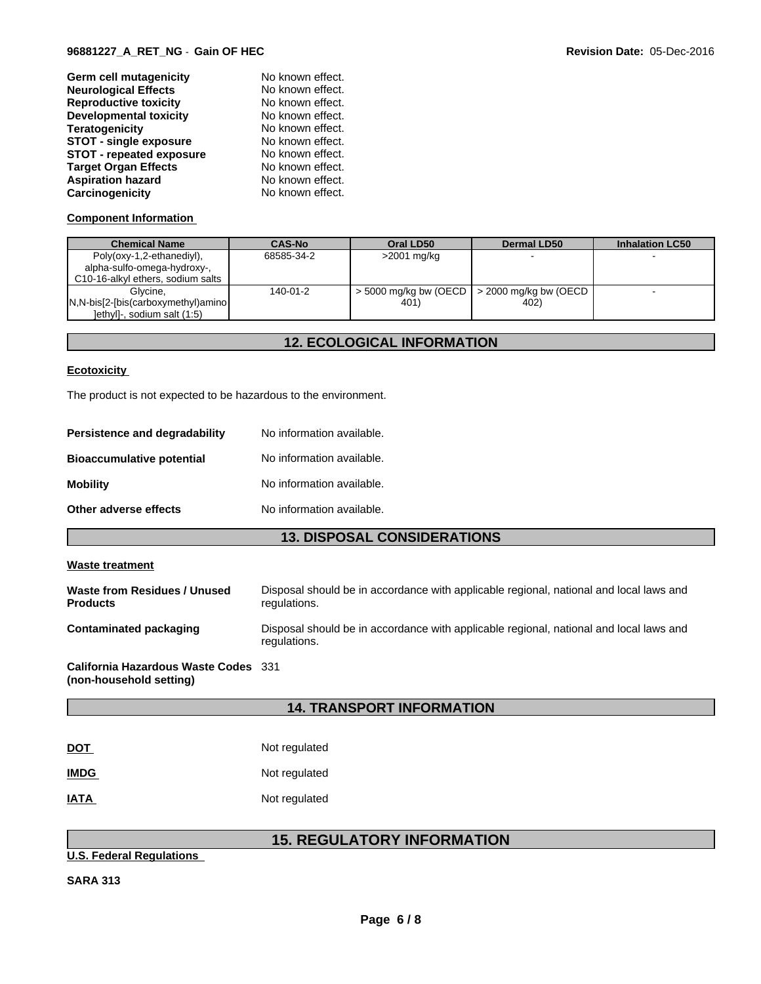#### **96881227\_A\_RET\_NG** - **Gain OF HEC Revision Date:** 05-Dec-2016

| Germ cell mutagenicity          | No known effect. |
|---------------------------------|------------------|
| <b>Neurological Effects</b>     | No known effect. |
| <b>Reproductive toxicity</b>    | No known effect. |
| <b>Developmental toxicity</b>   | No known effect. |
| <b>Teratogenicity</b>           | No known effect. |
| <b>STOT - single exposure</b>   | No known effect. |
| <b>STOT - repeated exposure</b> | No known effect. |
| <b>Target Organ Effects</b>     | No known effect. |
| <b>Aspiration hazard</b>        | No known effect. |
| Carcinogenicity                 | No known effect. |

# **Component Information**

| <b>Chemical Name</b>                | <b>CAS-No</b> | Oral LD50               | Dermal LD50             | <b>Inhalation LC50</b> |
|-------------------------------------|---------------|-------------------------|-------------------------|------------------------|
| Poly(oxy-1,2-ethanediyl),           | 68585-34-2    | >2001 mg/kg             |                         |                        |
| alpha-sulfo-omega-hydroxy-,         |               |                         |                         |                        |
| C10-16-alkyl ethers, sodium salts   |               |                         |                         |                        |
| Glvcine.                            | 140-01-2      | $>$ 5000 mg/kg bw (OECD | $>$ 2000 mg/kg bw (OECD |                        |
| N,N-bis[2-[bis(carboxymethyl)amino] |               | 401)                    | 402)                    |                        |
| ethyl]-, sodium salt (1:5)          |               |                         |                         |                        |

# **12. ECOLOGICAL INFORMATION**

#### **Ecotoxicity**

The product is not expected to be hazardous to the environment.

| <b>Persistence and degradability</b> | No information available. |
|--------------------------------------|---------------------------|
| <b>Bioaccumulative potential</b>     | No information available. |
| Mobility                             | No information available. |
| Other adverse effects                | No information available. |
|                                      |                           |

# **13. DISPOSAL CONSIDERATIONS**

#### **Waste treatment**

| Waste from Residues / Unused<br><b>Products</b>                 | Disposal should be in accordance with applicable regional, national and local laws and<br>regulations. |
|-----------------------------------------------------------------|--------------------------------------------------------------------------------------------------------|
| Contaminated packaging                                          | Disposal should be in accordance with applicable regional, national and local laws and<br>regulations. |
| California Hazardous Waste Codes 331<br>(non-household setting) |                                                                                                        |

# **14. TRANSPORT INFORMATION**

| <u>DOT</u>  | Not regulated |
|-------------|---------------|
| <b>IMDG</b> | Not regulated |
| IATA        | Not regulated |

# **15. REGULATORY INFORMATION**

### **U.S. Federal Regulations**

**SARA 313**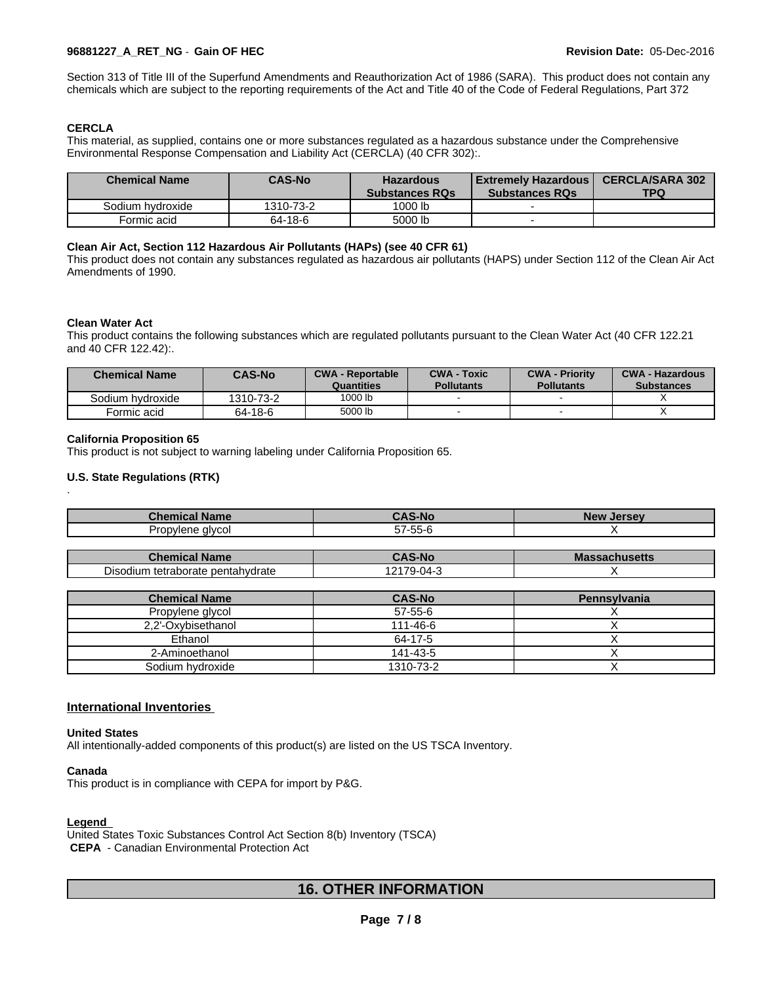### **96881227\_A\_RET\_NG** - **Gain OF HEC Revision Date:** 05-Dec-2016

Section 313 of Title III of the Superfund Amendments and Reauthorization Act of 1986 (SARA). This product does not contain any chemicals which are subject to the reporting requirements of the Act and Title 40 of the Code of Federal Regulations, Part 372

### **CERCLA**

This material, as supplied, contains one or more substances regulated as a hazardous substance under the Comprehensive Environmental Response Compensation and Liability Act (CERCLA) (40 CFR 302):.

| <b>Chemical Name</b> | <b>CAS-No</b> | <b>Hazardous</b><br><b>Substances RQs</b> | l Extremelv Hazardous I<br><b>Substances RQs</b> | <b>CERCLA/SARA 302</b><br>TPQ |
|----------------------|---------------|-------------------------------------------|--------------------------------------------------|-------------------------------|
| Sodium hydroxide     | 1310-73-2     | 1000 lb                                   |                                                  |                               |
| Formic acid          | 64-18-6       | 5000 lb                                   |                                                  |                               |

#### **Clean Air Act,Section 112 Hazardous Air Pollutants (HAPs) (see 40 CFR 61)**

This product does not contain any substances regulated as hazardous air pollutants (HAPS) under Section 112 of the Clean Air Act Amendments of 1990.

#### **Clean Water Act**

.

This product contains the following substances which are regulated pollutants pursuant to the Clean Water Act (40 CFR 122.21 and 40 CFR 122.42):.

| <b>Chemical Name</b> | <b>CAS-No</b> | <b>CWA - Reportable</b><br>Quantities | <b>CWA - Toxic</b><br><b>Pollutants</b> | <b>CWA - Priority</b><br><b>Pollutants</b> | <b>CWA - Hazardous</b><br><b>Substances</b> |
|----------------------|---------------|---------------------------------------|-----------------------------------------|--------------------------------------------|---------------------------------------------|
| Sodium hydroxide     | 1310-73-2     | 1000 lb                               |                                         |                                            |                                             |
| Formic acid          | 64-18-6       | 5000 lb                               |                                         |                                            |                                             |

#### **California Proposition 65**

This product is not subject to warning labeling under California Proposition 65.

#### **U.S. State Regulations (RTK)**

| $\blacksquare$ . nominally<br><b>Name</b> |                        | NAV<br><i>Lareaw</i> |
|-------------------------------------------|------------------------|----------------------|
| alvcol<br><br>ovler<br>I OL               | --<br>$- -$<br>הר<br>ື |                      |

| Chemical                                         | -No            | <b>Massa</b>      |
|--------------------------------------------------|----------------|-------------------|
| <b>Name</b>                                      | $\cdots$       | <b>sachusetts</b> |
| $\sim$<br>i tetraborate pentahydrate<br>Disodium | 70<br>м.<br>ъ. |                   |

| <b>Chemical Name</b> | <b>CAS-No</b> | <b>Pennsylvania</b> |
|----------------------|---------------|---------------------|
| Propylene glycol     | $57-55-6$     |                     |
| 2.2'-Oxybisethanol   | 111-46-6      |                     |
| Ethanol              | 64-17-5       |                     |
| 2-Aminoethanol       | 141-43-5      |                     |
| Sodium hydroxide     | 1310-73-2     |                     |

#### **International Inventories**

#### **United States**

All intentionally-added components of this product(s) are listed on the US TSCA Inventory.

#### **Canada**

This product is in compliance with CEPA for import by P&G.

#### **Legend**

United States Toxic Substances Control Act Section 8(b) Inventory (TSCA)

 **CEPA** - Canadian Environmental Protection Act

# **16. OTHER INFORMATION**